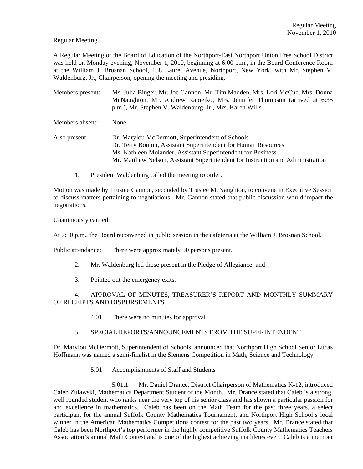#### Regular Meeting

A Regular Meeting of the Board of Education of the Northport-East Northport Union Free School District was held on Monday evening, November 1, 2010, beginning at 6:00 p.m., in the Board Conference Room at the William J. Brosnan School, 158 Laurel Avenue, Northport, New York, with Mr. Stephen V. Waldenburg, Jr., Chairperson, opening the meeting and presiding.

Members present: Ms. Julia Binger, Mr. Joe Gannon, Mr. Tim Madden, Mrs. Lori McCue, Mrs. Donna McNaughton, Mr. Andrew Rapiejko, Mrs. Jennifer Thompson (arrived at 6:35 p.m.), Mr. Stephen V. Waldenburg, Jr., Mrs. Karen Wills

Members absent: None

Also present: Dr. Marylou McDermott, Superintendent of Schools Dr. Terry Bouton, Assistant Superintendent for Human Resources Ms. Kathleen Molander, Assistant Superintendent for Business Mr. Matthew Nelson, Assistant Superintendent for Instruction and Administration

1. President Waldenburg called the meeting to order.

Motion was made by Trustee Gannon, seconded by Trustee McNaughton, to convene in Executive Session to discuss matters pertaining to negotiations. Mr. Gannon stated that public discussion would impact the negotiations.

Unanimously carried.

At 7:30 p.m., the Board reconvened in public session in the cafeteria at the William J. Brosnan School.

Public attendance: There were approximately 50 persons present.

- 2. Mr. Waldenburg led those present in the Pledge of Allegiance; and
- 3. Pointed out the emergency exits.

### 4. APPROVAL OF MINUTES, TREASURER'S REPORT AND MONTHLY SUMMARY OF RECEIPTS AND DISBURSEMENTS

4.01 There were no minutes for approval

### 5. SPECIAL REPORTS/ANNOUNCEMENTS FROM THE SUPERINTENDENT

Dr. Marylou McDermott, Superintendent of Schools, announced that Northport High School Senior Lucas Hoffmann was named a semi-finalist in the Siemens Competition in Math, Science and Technology

5.01 Accomplishments of Staff and Students

 5.01.1 Mr. Daniel Drance, District Chairperson of Mathematics K-12, introduced Caleb Zulawski, Mathematics Department Student of the Month. Mr. Drance stated that Caleb is a strong, well rounded student who ranks near the very top of his senior class and has shown a particular passion for and excellence in mathematics. Caleb has been on the Math Team for the past three years, a select participant for the annual Suffolk County Mathematics Tournament, and Northport High School's local winner in the American Mathematics Competitions contest for the past two years. Mr. Drance stated that Caleb has been Northport's top performer in the highly competitive Suffolk County Mathematics Teachers Association's annual Math Contest and is one of the highest achieving mathletes ever. Caleb is a member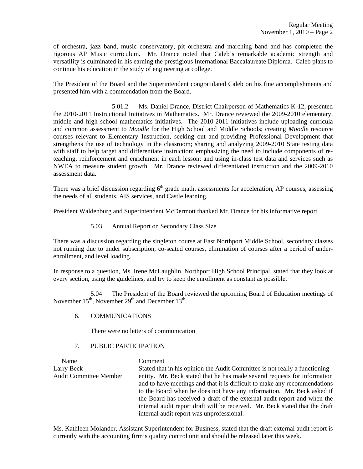of orchestra, jazz band, music conservatory, pit orchestra and marching band and has completed the rigorous AP Music curriculum. Mr. Drance noted that Caleb's remarkable academic strength and versatility is culminated in his earning the prestigious International Baccalaureate Diploma. Caleb plans to continue his education in the study of engineering at college.

The President of the Board and the Superintendent congratulated Caleb on his fine accomplishments and presented him with a commendation from the Board.

 5.01.2 Ms. Daniel Drance, District Chairperson of Mathematics K-12, presented the 2010-2011 Instructional Initiatives in Mathematics. Mr. Drance reviewed the 2009-2010 elementary, middle and high school mathematics initiatives. The 2010-2011 initiatives include uploading curricula and common assessment to *Moodle* for the High School and Middle Schools; creating *Moodle* resource courses relevant to Elementary Instruction, seeking out and providing Professional Development that strengthens the use of technology in the classroom; sharing and analyzing 2009-2010 State testing data with staff to help target and differentiate instruction; emphasizing the need to include components of reteaching, reinforcement and enrichment in each lesson; and using in-class test data and services such as NWEA to measure student growth. Mr. Drance reviewed differentiated instruction and the 2009-2010 assessment data.

There was a brief discussion regarding  $6<sup>th</sup>$  grade math, assessments for acceleration, AP courses, assessing the needs of all students, AIS services, and Castle learning.

President Waldenburg and Superintendent McDermott thanked Mr. Drance for his informative report.

5.03 Annual Report on Secondary Class Size

There was a discussion regarding the singleton course at East Northport Middle School, secondary classes not running due to under subscription, co-seated courses, elimination of courses after a period of underenrollment, and level loading.

In response to a question, Ms. Irene McLaughlin, Northport High School Principal, stated that they look at every section, using the guidelines, and try to keep the enrollment as constant as possible.

 5.04 The President of the Board reviewed the upcoming Board of Education meetings of November  $15<sup>th</sup>$ , November  $29<sup>th</sup>$  and December  $13<sup>th</sup>$ .

# 6. COMMUNICATIONS

There were no letters of communication

### 7. PUBLIC PARTICIPATION

 Name Comment Larry Beck Stated that in his opinion the Audit Committee is not really a functioning Audit Committee Member entity. Mr. Beck stated that he has made several requests for information and to have meetings and that it is difficult to make any recommendations to the Board when he does not have any information. Mr. Beck asked if the Board has received a draft of the external audit report and when the internal audit report draft will be received. Mr. Beck stated that the draft internal audit report was unprofessional.

Ms. Kathleen Molander, Assistant Superintendent for Business, stated that the draft external audit report is currently with the accounting firm's quality control unit and should be released later this week.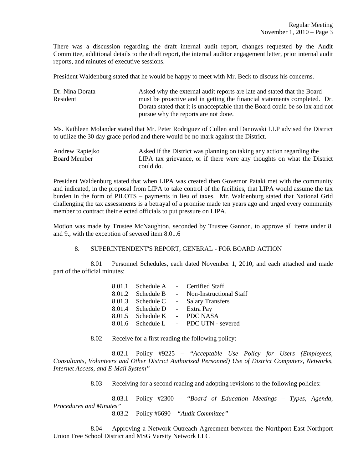There was a discussion regarding the draft internal audit report, changes requested by the Audit Committee, additional details to the draft report, the internal auditor engagement letter, prior internal audit reports, and minutes of executive sessions.

President Waldenburg stated that he would be happy to meet with Mr. Beck to discuss his concerns.

| Dr. Nina Dorata | Asked why the external audit reports are late and stated that the Board      |
|-----------------|------------------------------------------------------------------------------|
| Resident        | must be proactive and in getting the financial statements completed. Dr.     |
|                 | Dorata stated that it is unacceptable that the Board could be so lax and not |
|                 | pursue why the reports are not done.                                         |

Ms. Kathleen Molander stated that Mr. Peter Rodriguez of Cullen and Danowski LLP advised the District to utilize the 30 day grace period and there would be no mark against the District.

| Andrew Rapiejko | Asked if the District was planning on taking any action regarding the  |
|-----------------|------------------------------------------------------------------------|
| Board Member    | LIPA tax grievance, or if there were any thoughts on what the District |
|                 | could do.                                                              |

President Waldenburg stated that when LIPA was created then Governor Pataki met with the community and indicated, in the proposal from LIPA to take control of the facilities, that LIPA would assume the tax burden in the form of PILOTS – payments in lieu of taxes. Mr. Waldenburg stated that National Grid challenging the tax assessments is a betrayal of a promise made ten years ago and urged every community member to contract their elected officials to put pressure on LIPA.

Motion was made by Trustee McNaughton, seconded by Trustee Gannon, to approve all items under 8. and 9., with the exception of severed item 8.01.6

# 8. SUPERINTENDENT'S REPORT, GENERAL - FOR BOARD ACTION

 8.01 Personnel Schedules, each dated November 1, 2010, and each attached and made part of the official minutes:

|                   |                        | 8.01.1 Schedule A - Certified Staff   |
|-------------------|------------------------|---------------------------------------|
| 8.01.2 Schedule B | $\sim$ $-$             | Non-Instructional Staff               |
| 8.01.3 Schedule C |                        | - Salary Transfers                    |
| 8.01.4 Schedule D | $\sim 10^{-11}$        | Extra Pay                             |
| 8.01.5 Schedule K | $\Delta \sim 10^{-11}$ | PDC NASA                              |
|                   |                        | 8.01.6 Schedule L - PDC UTN - severed |

8.02 Receive for a first reading the following policy:

 8.02.1 Policy #9225 – *"Acceptable Use Policy for Users (Employees, Consultants, Volunteers and Other District Authorized Personnel) Use of District Computers, Networks, Internet Access, and E-Mail System"*

8.03 Receiving for a second reading and adopting revisions to the following policies:

 8.03.1 Policy #2300 – *"Board of Education Meetings – Types, Agenda, Procedures and Minutes"*

8.03.2 Policy #6690 – *"Audit Committee"*

 8.04 Approving a Network Outreach Agreement between the Northport-East Northport Union Free School District and MSG Varsity Network LLC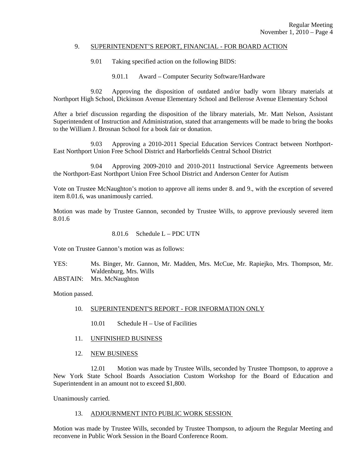#### 9. SUPERINTENDENT'S REPORT, FINANCIAL - FOR BOARD ACTION

- 9.01 Taking specified action on the following BIDS:
	- 9.01.1 Award Computer Security Software/Hardware

 9.02 Approving the disposition of outdated and/or badly worn library materials at Northport High School, Dickinson Avenue Elementary School and Bellerose Avenue Elementary School

After a brief discussion regarding the disposition of the library materials, Mr. Matt Nelson, Assistant Superintendent of Instruction and Administration, stated that arrangements will be made to bring the books to the William J. Brosnan School for a book fair or donation.

 9.03 Approving a 2010-2011 Special Education Services Contract between Northport-East Northport Union Free School District and Harborfields Central School District

 9.04 Approving 2009-2010 and 2010-2011 Instructional Service Agreements between the Northport-East Northport Union Free School District and Anderson Center for Autism

Vote on Trustee McNaughton's motion to approve all items under 8. and 9., with the exception of severed item 8.01.6, was unanimously carried.

Motion was made by Trustee Gannon, seconded by Trustee Wills, to approve previously severed item 8.01.6

8.01.6 Schedule L – PDC UTN

Vote on Trustee Gannon's motion was as follows:

YES: Ms. Binger, Mr. Gannon, Mr. Madden, Mrs. McCue, Mr. Rapiejko, Mrs. Thompson, Mr. Waldenburg, Mrs. Wills

ABSTAIN: Mrs. McNaughton

Motion passed.

- 10. SUPERINTENDENT'S REPORT FOR INFORMATION ONLY
	- 10.01 Schedule H Use of Facilities
- 11. UNFINISHED BUSINESS
- 12. NEW BUSINESS

 12.01 Motion was made by Trustee Wills, seconded by Trustee Thompson, to approve a New York State School Boards Association Custom Workshop for the Board of Education and Superintendent in an amount not to exceed \$1,800.

Unanimously carried.

#### 13. ADJOURNMENT INTO PUBLIC WORK SESSION

Motion was made by Trustee Wills, seconded by Trustee Thompson, to adjourn the Regular Meeting and reconvene in Public Work Session in the Board Conference Room.